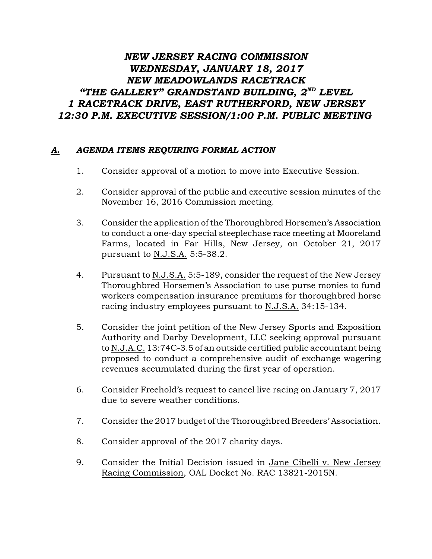## *NEW JERSEY RACING COMMISSION WEDNESDAY, JANUARY 18, 2017 NEW MEADOWLANDS RACETRACK "THE GALLERY" GRANDSTAND BUILDING, 2 LEVEL ND 1 RACETRACK DRIVE, EAST RUTHERFORD, NEW JERSEY 12:30 P.M. EXECUTIVE SESSION/1:00 P.M. PUBLIC MEETING*

## *A. AGENDA ITEMS REQUIRING FORMAL ACTION*

- 1. Consider approval of a motion to move into Executive Session.
- 2. Consider approval of the public and executive session minutes of the November 16, 2016 Commission meeting.
- 3. Consider the application of the Thoroughbred Horsemen's Association to conduct a one-day special steeplechase race meeting at Mooreland Farms, located in Far Hills, New Jersey, on October 21, 2017 pursuant to N.J.S.A. 5:5-38.2.
- 4. Pursuant to N.J.S.A. 5:5-189, consider the request of the New Jersey Thoroughbred Horsemen's Association to use purse monies to fund workers compensation insurance premiums for thoroughbred horse racing industry employees pursuant to N.J.S.A. 34:15-134.
- 5. Consider the joint petition of the New Jersey Sports and Exposition Authority and Darby Development, LLC seeking approval pursuant to N.J.A.C. 13:74C-3.5 of an outside certified public accountant being proposed to conduct a comprehensive audit of exchange wagering revenues accumulated during the first year of operation.
- 6. Consider Freehold's request to cancel live racing on January 7, 2017 due to severe weather conditions.
- 7. Consider the 2017 budget of the Thoroughbred Breeders' Association.
- 8. Consider approval of the 2017 charity days.
- 9. Consider the Initial Decision issued in Jane Cibelli v. New Jersey Racing Commission, OAL Docket No. RAC 13821-2015N.